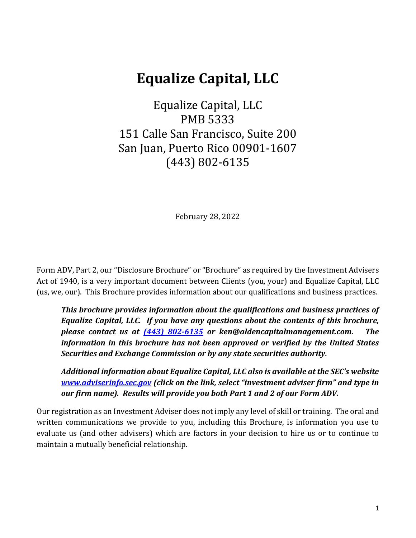# **Equalize Capital, LLC**

Equalize Capital, LLC PMB 5333 151 Calle San Francisco, Suite 200 San Juan, Puerto Rico 00901-1607 (443) 802-6135

February 28, 2022

Form ADV, Part 2, our "Disclosure Brochure" or "Brochure" as required by the Investment Advisers Act of 1940, is a very important document between Clients (you, your) and Equalize Capital, LLC (us, we, our). This Brochure provides information about our qualifications and business practices.

*This brochure provides information about the qualifications and business practices of Equalize Capital, LLC. If you have any questions about the contents of this brochure, please contact us at [\(443\) 802-6](mailto:(443)%20802-)135 or ken@aldencapitalmanagement.com. The information in this brochure has not been approved or verified by the United States Securities and Exchange Commission or by any state securities authority.*

*Additional information about Equalize Capital, LLC also is available at the SEC's website [www.adviserinfo.sec.gov](http://www.adviserinfo.sec.gov/) (click on the link, select "investment adviser firm" and type in our firm name). Results will provide you both Part 1 and 2 of our Form ADV.*

Our registration as an Investment Adviser does not imply any level of skill or training. The oral and written communications we provide to you, including this Brochure, is information you use to evaluate us (and other advisers) which are factors in your decision to hire us or to continue to maintain a mutually beneficial relationship.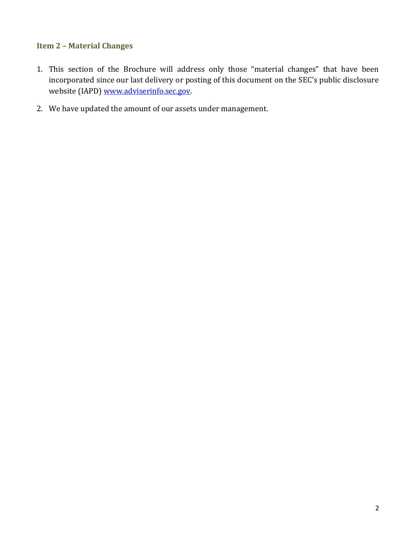# <span id="page-1-0"></span>**Item 2 – Material Changes**

- 1. This section of the Brochure will address only those "material changes" that have been incorporated since our last delivery or posting of this document on the SEC's public disclosure website (IAPD[\) www.adviserinfo.sec.gov.](http://www.adviserinfo.sec.gov/)
- 2. We have updated the amount of our assets under management.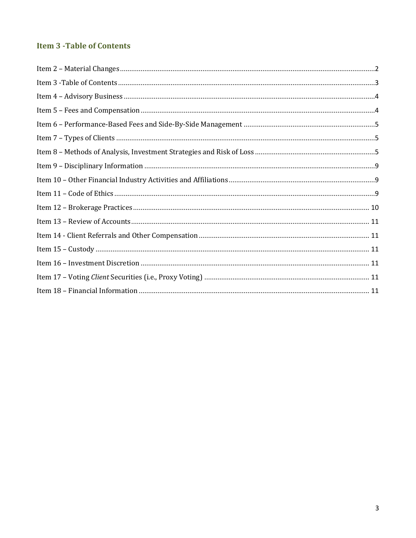# <span id="page-2-0"></span>**Item 3 - Table of Contents**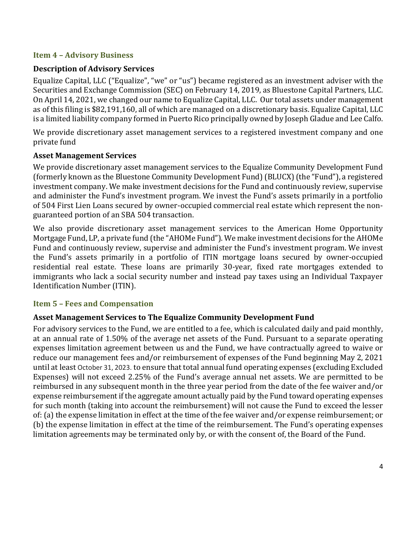# <span id="page-3-0"></span>**Item 4 – Advisory Business**

# **Description of Advisory Services**

Equalize Capital, LLC ("Equalize", "we" or "us") became registered as an investment adviser with the Securities and Exchange Commission (SEC) on February 14, 2019, as Bluestone Capital Partners, LLC. On April 14, 2021, we changed our name to Equalize Capital, LLC. Our total assets under management as of this filing is \$82,191,160, all of which are managed on a discretionary basis. Equalize Capital, LLC is a limited liability company formed in Puerto Rico principally owned by Joseph Gladue and Lee Calfo.

We provide discretionary asset management services to a registered investment company and one private fund

# **Asset Management Services**

We provide discretionary asset management services to the Equalize Community Development Fund (formerly known as the Bluestone Community Development Fund)(BLUCX)(the "Fund"), a registered investment company. We make investment decisions for the Fund and continuously review, supervise and administer the Fund's investment program. We invest the Fund's assets primarily in a portfolio of 504 First Lien Loans secured by owner-occupied commercial real estate which represent the nonguaranteed portion of an SBA 504 transaction.

We also provide discretionary asset management services to the American Home Opportunity Mortgage Fund, LP, a private fund (the "AHOMe Fund"). We make investment decisions for the AHOMe Fund and continuously review, supervise and administer the Fund's investment program. We invest the Fund's assets primarily in a portfolio of ITIN mortgage loans secured by owner-occupied residential real estate. These loans are primarily 30-year, fixed rate mortgages extended to immigrants who lack a social security number and instead pay taxes using an Individual Taxpayer Identification Number (ITIN).

## <span id="page-3-1"></span>**Item 5 – Fees and Compensation**

# **Asset Management Services to The Equalize Community Development Fund**

For advisory services to the Fund, we are entitled to a fee, which is calculated daily and paid monthly, at an annual rate of 1.50% of the average net assets of the Fund. Pursuant to a separate operating expenses limitation agreement between us and the Fund, we have contractually agreed to waive or reduce our management fees and/or reimbursement of expenses of the Fund beginning May 2, 2021 until at least October 31, 2023. to ensure that total annual fund operating expenses (excluding Excluded Expenses) will not exceed 2.25% of the Fund's average annual net assets. We are permitted to be reimbursed in any subsequent month in the three year period from the date of the fee waiver and/or expense reimbursement if the aggregate amount actually paid by the Fund toward operating expenses for such month (taking into account the reimbursement) will not cause the Fund to exceed the lesser of: (a) the expense limitation in effect at the time of the fee waiver and/or expense reimbursement; or (b) the expense limitation in effect at the time of the reimbursement. The Fund's operating expenses limitation agreements may be terminated only by, or with the consent of, the Board of the Fund.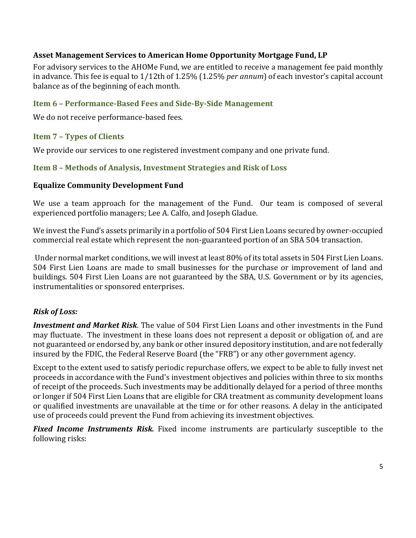# **Asset Management Services to American Home Opportunity Mortgage Fund, LP**

For advisory services to the AHOMe Fund, we are entitled to receive a management fee paid monthly in advance. This fee is equal to 1/12th of 1.25% (1.25% *per annum*) of each investor's capital account balance as of the beginning of each month.

## <span id="page-4-0"></span>**Item 6 – Performance-Based Fees and Side-By-Side Management**

We do not receive performance-based fees.

# <span id="page-4-1"></span>**Item 7 – Types of Clients**

We provide our services to one registered investment company and one private fund.

## <span id="page-4-2"></span>**Item 8 – Methods of Analysis, Investment Strategies and Risk of Loss**

## **Equalize Community Development Fund**

We use a team approach for the management of the Fund. Our team is composed of several experienced portfolio managers; Lee A. Calfo, and Joseph Gladue.

We invest the Fund's assets primarily in a portfolio of 504 First Lien Loans secured by owner-occupied commercial real estate which represent the non-guaranteed portion of an SBA 504 transaction.

Under normal market conditions, we will invest at least 80% of its total assets in 504 First Lien Loans. 504 First Lien Loans are made to small businesses for the purchase or improvement of land and buildings. 504 First Lien Loans are not guaranteed by the SBA, U.S. Government or by its agencies, instrumentalities or sponsored enterprises.

## *Risk of Loss:*

*Investment and Market Risk*. The value of 504 First Lien Loans and other investments in the Fund may fluctuate. The investment in these loans does not represent a deposit or obligation of, and are not guaranteed or endorsed by, any bank or other insured depository institution, and are not federally insured by the FDIC, the Federal Reserve Board (the "FRB") or any other government agency.

Except to the extent used to satisfy periodic repurchase offers, we expect to be able to fully invest net proceeds in accordance with the Fund's investment objectives and policies within three to six months of receipt of the proceeds. Such investments may be additionally delayed for a period of three months or longer if 504 First Lien Loans that are eligible for CRA treatment as community development loans or qualified investments are unavailable at the time or for other reasons. A delay in the anticipated use of proceeds could prevent the Fund from achieving its investment objectives.

*Fixed Income Instruments Risk.* Fixed income instruments are particularly susceptible to the following risks: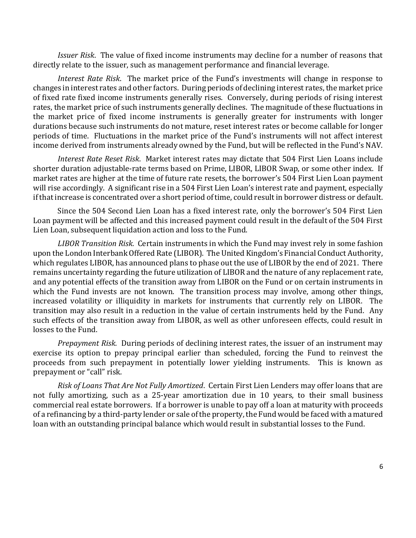*Issuer Risk*. The value of fixed income instruments may decline for a number of reasons that directly relate to the issuer, such as management performance and financial leverage.

*Interest Rate Risk*. The market price of the Fund's investments will change in response to changes in interest rates and other factors. During periods of declining interest rates, the market price of fixed rate fixed income instruments generally rises. Conversely, during periods of rising interest rates, the market price of such instruments generally declines. The magnitude of these fluctuations in the market price of fixed income instruments is generally greater for instruments with longer durations because such instruments do not mature, reset interest rates or become callable for longer periods of time. Fluctuations in the market price of the Fund's instruments will not affect interest income derived from instruments already owned by the Fund, but will be reflected in the Fund's NAV.

*Interest Rate Reset Risk*. Market interest rates may dictate that 504 First Lien Loans include shorter duration adjustable-rate terms based on Prime, LIBOR, LIBOR Swap, or some other index. If market rates are higher at the time of future rate resets, the borrower's 504 First Lien Loan payment will rise accordingly. A significant rise in a 504 First Lien Loan's interest rate and payment, especially if that increase is concentrated over a short period of time, could result in borrower distress or default.

 Since the 504 Second Lien Loan has a fixed interest rate, only the borrower's 504 First Lien Loan payment will be affected and this increased payment could result in the default of the 504 First Lien Loan, subsequent liquidation action and loss to the Fund.

 *LIBOR Transition Risk*. Certain instruments in which the Fund may invest rely in some fashion upon the London Interbank Offered Rate (LIBOR). The United Kingdom's Financial Conduct Authority, which regulates LIBOR, has announced plans to phase out the use of LIBOR by the end of 2021. There remains uncertainty regarding the future utilization of LIBOR and the nature of any replacement rate, and any potential effects of the transition away from LIBOR on the Fund or on certain instruments in which the Fund invests are not known. The transition process may involve, among other things, increased volatility or illiquidity in markets for instruments that currently rely on LIBOR. The transition may also result in a reduction in the value of certain instruments held by the Fund. Any such effects of the transition away from LIBOR, as well as other unforeseen effects, could result in losses to the Fund.

*Prepayment Risk*. During periods of declining interest rates, the issuer of an instrument may exercise its option to prepay principal earlier than scheduled, forcing the Fund to reinvest the proceeds from such prepayment in potentially lower yielding instruments. This is known as prepayment or "call" risk.

*Risk of Loans That Are Not Fully Amortized*. Certain First Lien Lenders may offer loans that are not fully amortizing, such as a 25-year amortization due in 10 years, to their small business commercial real estate borrowers. If a borrower is unable to pay off a loan at maturity with proceeds of a refinancing by a third-party lender or sale of the property, the Fund would be faced with a matured loan with an outstanding principal balance which would result in substantial losses to the Fund.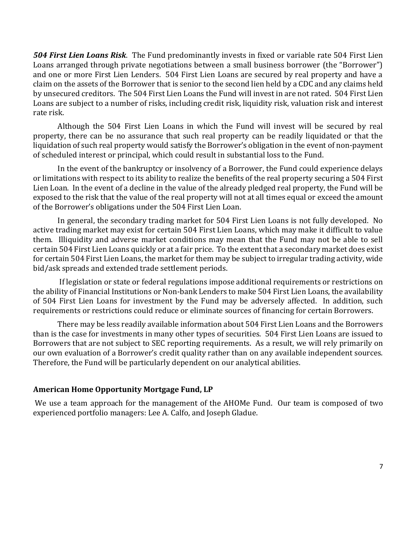*504 First Lien Loans Risk*. The Fund predominantly invests in fixed or variable rate 504 First Lien Loans arranged through private negotiations between a small business borrower (the "Borrower") and one or more First Lien Lenders. 504 First Lien Loans are secured by real property and have a claim on the assets of the Borrower that is senior to the second lien held by a CDC and any claims held by unsecured creditors. The 504 First Lien Loans the Fund will invest in are not rated. 504 First Lien Loans are subject to a number of risks, including credit risk, liquidity risk, valuation risk and interest rate risk.

Although the 504 First Lien Loans in which the Fund will invest will be secured by real property, there can be no assurance that such real property can be readily liquidated or that the liquidation of such real property would satisfy the Borrower's obligation in the event of non-payment of scheduled interest or principal, which could result in substantial loss to the Fund.

In the event of the bankruptcy or insolvency of a Borrower, the Fund could experience delays or limitations with respect to its ability to realize the benefits of the real property securing a 504 First Lien Loan. In the event of a decline in the value of the already pledged real property, the Fund will be exposed to the risk that the value of the real property will not at all times equal or exceed the amount of the Borrower's obligations under the 504 First Lien Loan.

In general, the secondary trading market for 504 First Lien Loans is not fully developed. No active trading market may exist for certain 504 First Lien Loans, which may make it difficult to value them. Illiquidity and adverse market conditions may mean that the Fund may not be able to sell certain 504 First Lien Loans quickly or at a fair price. To the extent that a secondary market does exist for certain 504 First Lien Loans, the market for them may be subject to irregular trading activity, wide bid/ask spreads and extended trade settlement periods.

If legislation or state or federal regulations impose additional requirements or restrictions on the ability of Financial Institutions or Non-bank Lenders to make 504 First Lien Loans, the availability of 504 First Lien Loans for investment by the Fund may be adversely affected. In addition, such requirements or restrictions could reduce or eliminate sources of financing for certain Borrowers.

There may be less readily available information about 504 First Lien Loans and the Borrowers than is the case for investments in many other types of securities. 504 First Lien Loans are issued to Borrowers that are not subject to SEC reporting requirements. As a result, we will rely primarily on our own evaluation of a Borrower's credit quality rather than on any available independent sources. Therefore, the Fund will be particularly dependent on our analytical abilities.

#### **American Home Opportunity Mortgage Fund, LP**

We use a team approach for the management of the AHOMe Fund. Our team is composed of two experienced portfolio managers: Lee A. Calfo, and Joseph Gladue.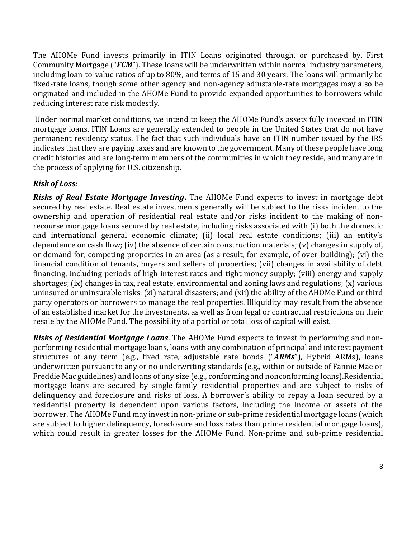The AHOMe Fund invests primarily in ITIN Loans originated through, or purchased by, First Community Mortgage ("*FCM*"). These loans will be underwritten within normal industry parameters, including loan-to-value ratios of up to 80%, and terms of 15 and 30 years. The loans will primarily be fixed-rate loans, though some other agency and non-agency adjustable-rate mortgages may also be originated and included in the AHOMe Fund to provide expanded opportunities to borrowers while reducing interest rate risk modestly.

Under normal market conditions, we intend to keep the AHOMe Fund's assets fully invested in ITIN mortgage loans. ITIN Loans are generally extended to people in the United States that do not have permanent residency status. The fact that such individuals have an ITIN number issued by the IRS indicates that they are paying taxes and are known to the government. Many of these people have long credit histories and are long-term members of the communities in which they reside, and many are in the process of applying for U.S. citizenship.

# *Risk of Loss:*

*Risks of Real Estate Mortgage Investing***.** The AHOMe Fund expects to invest in mortgage debt secured by real estate. Real estate investments generally will be subject to the risks incident to the ownership and operation of residential real estate and/or risks incident to the making of nonrecourse mortgage loans secured by real estate, including risks associated with (i) both the domestic and international general economic climate; (ii) local real estate conditions; (iii) an entity's dependence on cash flow; (iv) the absence of certain construction materials; (v) changes in supply of, or demand for, competing properties in an area (as a result, for example, of over-building); (vi) the financial condition of tenants, buyers and sellers of properties; (vii) changes in availability of debt financing, including periods of high interest rates and tight money supply; (viii) energy and supply shortages; (ix) changes in tax, real estate, environmental and zoning laws and regulations; (x) various uninsured or uninsurable risks; (xi) natural disasters; and (xii) the ability of the AHOMe Fund or third party operators or borrowers to manage the real properties. Illiquidity may result from the absence of an established market for the investments, as well as from legal or contractual restrictions on their resale by the AHOMe Fund. The possibility of a partial or total loss of capital will exist.

*Risks of Residential Mortgage Loans*. The AHOMe Fund expects to invest in performing and nonperforming residential mortgage loans, loans with any combination of principal and interest payment structures of any term (e.g., fixed rate, adjustable rate bonds ("*ARMs*"), Hybrid ARMs), loans underwritten pursuant to any or no underwriting standards (e.g., within or outside of Fannie Mae or Freddie Mac guidelines) and loans of any size (e.g., conforming and nonconforming loans).Residential mortgage loans are secured by single-family residential properties and are subject to risks of delinquency and foreclosure and risks of loss. A borrower's ability to repay a loan secured by a residential property is dependent upon various factors, including the income or assets of the borrower. The AHOMe Fund may invest in non-prime or sub-prime residential mortgage loans (which are subject to higher delinquency, foreclosure and loss rates than prime residential mortgage loans), which could result in greater losses for the AHOMe Fund. Non-prime and sub-prime residential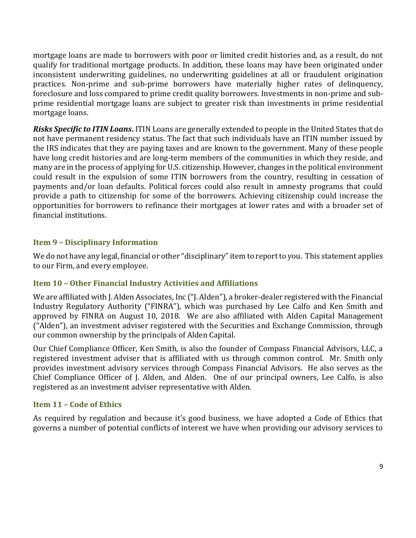mortgage loans are made to borrowers with poor or limited credit histories and, as a result, do not qualify for traditional mortgage products. In addition, these loans may have been originated under inconsistent underwriting guidelines, no underwriting guidelines at all or fraudulent origination practices. Non-prime and sub-prime borrowers have materially higher rates of delinquency, foreclosure and loss compared to prime credit quality borrowers. Investments in non-prime and subprime residential mortgage loans are subject to greater risk than investments in prime residential mortgage loans.

*Risks Specific to ITIN Loans***.** ITIN Loans are generally extended to people in the United States that do not have permanent residency status. The fact that such individuals have an ITIN number issued by the IRS indicates that they are paying taxes and are known to the government. Many of these people have long credit histories and are long-term members of the communities in which they reside, and many are in the process of applying for U.S. citizenship. However, changes in the political environment could result in the expulsion of some ITIN borrowers from the country, resulting in cessation of payments and/or loan defaults. Political forces could also result in amnesty programs that could provide a path to citizenship for some of the borrowers. Achieving citizenship could increase the opportunities for borrowers to refinance their mortgages at lower rates and with a broader set of financial institutions.

## <span id="page-8-0"></span>**Item 9 – Disciplinary Information**

We do not have any legal, financial or other "disciplinary" item to report to you. This statement applies to our Firm, and every employee.

## <span id="page-8-1"></span>**Item 10 – Other Financial Industry Activities and Affiliations**

We are affiliated with J. Alden Associates, Inc ("J. Alden"), a broker-dealer registered with the Financial Industry Regulatory Authority ("FINRA"), which was purchased by Lee Calfo and Ken Smith and approved by FINRA on August 10, 2018. We are also affiliated with Alden Capital Management ("Alden"), an investment adviser registered with the Securities and Exchange Commission, through our common ownership by the principals of Alden Capital.

Our Chief Compliance Officer, Ken Smith, is also the founder of Compass Financial Advisors, LLC, a registered investment adviser that is affiliated with us through common control. Mr. Smith only provides investment advisory services through Compass Financial Advisors. He also serves as the Chief Compliance Officer of J. Alden, and Alden. One of our principal owners, Lee Calfo, is also registered as an investment adviser representative with Alden.

## <span id="page-8-2"></span>**Item 11 – Code of Ethics**

As required by regulation and because it's good business, we have adopted a Code of Ethics that governs a number of potential conflicts of interest we have when providing our advisory services to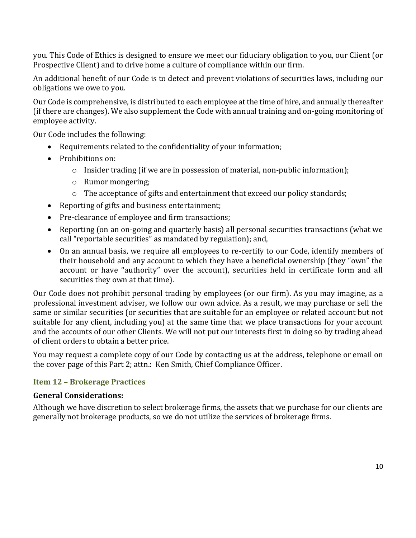you. This Code of Ethics is designed to ensure we meet our fiduciary obligation to you, our Client (or Prospective Client) and to drive home a culture of compliance within our firm.

An additional benefit of our Code is to detect and prevent violations of securities laws, including our obligations we owe to you.

Our Code is comprehensive, is distributed to each employee at the time of hire, and annually thereafter (if there are changes). We also supplement the Code with annual training and on-going monitoring of employee activity.

Our Code includes the following:

- Requirements related to the confidentiality of your information;
- Prohibitions on:
	- o Insider trading (if we are in possession of material, non-public information);
	- o Rumor mongering;
	- o The acceptance of gifts and entertainment that exceed our policy standards;
- Reporting of gifts and business entertainment;
- Pre-clearance of employee and firm transactions;
- Reporting (on an on-going and quarterly basis) all personal securities transactions (what we call "reportable securities" as mandated by regulation); and,
- On an annual basis, we require all employees to re-certify to our Code, identify members of their household and any account to which they have a beneficial ownership (they "own" the account or have "authority" over the account), securities held in certificate form and all securities they own at that time).

Our Code does not prohibit personal trading by employees (or our firm). As you may imagine, as a professional investment adviser, we follow our own advice. As a result, we may purchase or sell the same or similar securities (or securities that are suitable for an employee or related account but not suitable for any client, including you) at the same time that we place transactions for your account and the accounts of our other Clients. We will not put our interests first in doing so by trading ahead of client orders to obtain a better price.

You may request a complete copy of our Code by contacting us at the address, telephone or email on the cover page of this Part 2; attn.: Ken Smith, Chief Compliance Officer.

## <span id="page-9-0"></span>**Item 12 – Brokerage Practices**

#### **General Considerations:**

Although we have discretion to select brokerage firms, the assets that we purchase for our clients are generally not brokerage products, so we do not utilize the services of brokerage firms.